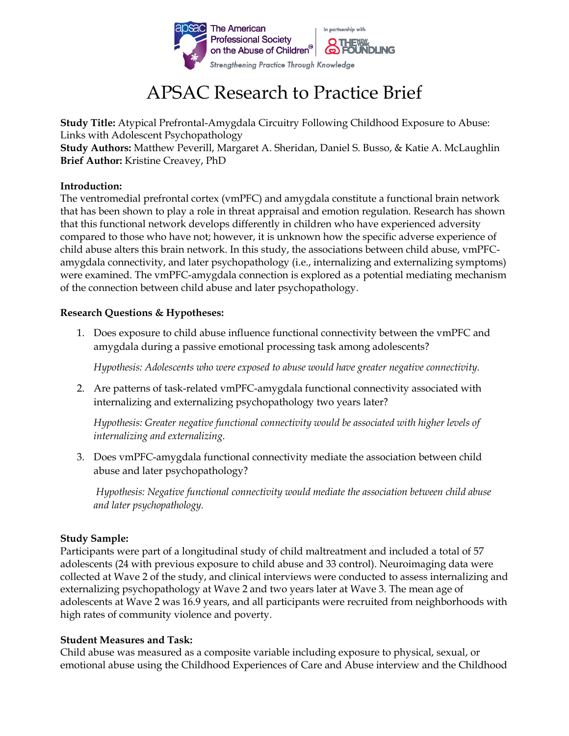

# APSAC Research to Practice Brief

**Study Title:** Atypical Prefrontal-Amygdala Circuitry Following Childhood Exposure to Abuse: Links with Adolescent Psychopathology

**Study Authors:** Matthew Peverill, Margaret A. Sheridan, Daniel S. Busso, & Katie A. McLaughlin **Brief Author:** Kristine Creavey, PhD

#### **Introduction:**

The ventromedial prefrontal cortex (vmPFC) and amygdala constitute a functional brain network that has been shown to play a role in threat appraisal and emotion regulation. Research has shown that this functional network develops differently in children who have experienced adversity compared to those who have not; however, it is unknown how the specific adverse experience of child abuse alters this brain network. In this study, the associations between child abuse, vmPFCamygdala connectivity, and later psychopathology (i.e., internalizing and externalizing symptoms) were examined. The vmPFC-amygdala connection is explored as a potential mediating mechanism of the connection between child abuse and later psychopathology.

# **Research Questions & Hypotheses:**

1. Does exposure to child abuse influence functional connectivity between the vmPFC and amygdala during a passive emotional processing task among adolescents?

*Hypothesis: Adolescents who were exposed to abuse would have greater negative connectivity.*

2. Are patterns of task-related vmPFC-amygdala functional connectivity associated with internalizing and externalizing psychopathology two years later?

*Hypothesis: Greater negative functional connectivity would be associated with higher levels of internalizing and externalizing.*

3. Does vmPFC-amygdala functional connectivity mediate the association between child abuse and later psychopathology?

*Hypothesis: Negative functional connectivity would mediate the association between child abuse and later psychopathology.*

# **Study Sample:**

Participants were part of a longitudinal study of child maltreatment and included a total of 57 adolescents (24 with previous exposure to child abuse and 33 control). Neuroimaging data were collected at Wave 2 of the study, and clinical interviews were conducted to assess internalizing and externalizing psychopathology at Wave 2 and two years later at Wave 3. The mean age of adolescents at Wave 2 was 16.9 years, and all participants were recruited from neighborhoods with high rates of community violence and poverty.

#### **Student Measures and Task:**

Child abuse was measured as a composite variable including exposure to physical, sexual, or emotional abuse using the Childhood Experiences of Care and Abuse interview and the Childhood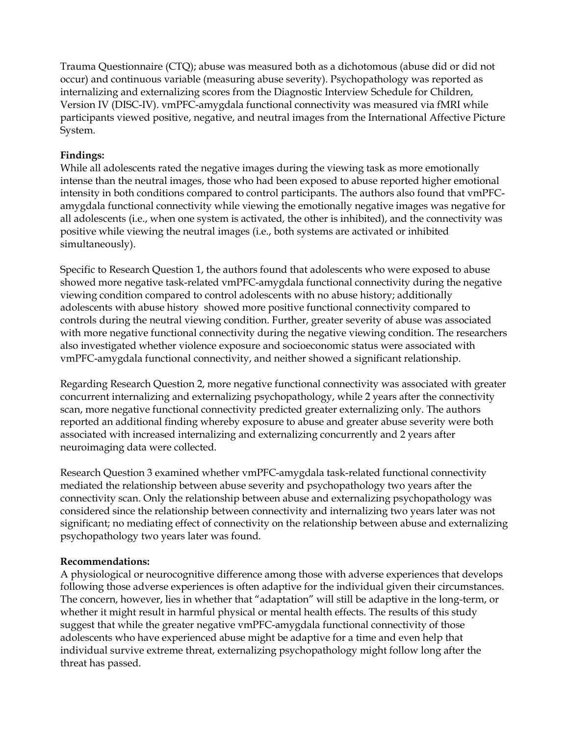Trauma Questionnaire (CTQ); abuse was measured both as a dichotomous (abuse did or did not occur) and continuous variable (measuring abuse severity). Psychopathology was reported as internalizing and externalizing scores from the Diagnostic Interview Schedule for Children, Version IV (DISC-IV). vmPFC-amygdala functional connectivity was measured via fMRI while participants viewed positive, negative, and neutral images from the International Affective Picture System.

## **Findings:**

While all adolescents rated the negative images during the viewing task as more emotionally intense than the neutral images, those who had been exposed to abuse reported higher emotional intensity in both conditions compared to control participants. The authors also found that vmPFCamygdala functional connectivity while viewing the emotionally negative images was negative for all adolescents (i.e., when one system is activated, the other is inhibited), and the connectivity was positive while viewing the neutral images (i.e., both systems are activated or inhibited simultaneously).

Specific to Research Question 1, the authors found that adolescents who were exposed to abuse showed more negative task-related vmPFC-amygdala functional connectivity during the negative viewing condition compared to control adolescents with no abuse history; additionally adolescents with abuse history showed more positive functional connectivity compared to controls during the neutral viewing condition. Further, greater severity of abuse was associated with more negative functional connectivity during the negative viewing condition. The researchers also investigated whether violence exposure and socioeconomic status were associated with vmPFC-amygdala functional connectivity, and neither showed a significant relationship.

Regarding Research Question 2, more negative functional connectivity was associated with greater concurrent internalizing and externalizing psychopathology, while 2 years after the connectivity scan, more negative functional connectivity predicted greater externalizing only. The authors reported an additional finding whereby exposure to abuse and greater abuse severity were both associated with increased internalizing and externalizing concurrently and 2 years after neuroimaging data were collected.

Research Question 3 examined whether vmPFC-amygdala task-related functional connectivity mediated the relationship between abuse severity and psychopathology two years after the connectivity scan. Only the relationship between abuse and externalizing psychopathology was considered since the relationship between connectivity and internalizing two years later was not significant; no mediating effect of connectivity on the relationship between abuse and externalizing psychopathology two years later was found.

#### **Recommendations:**

A physiological or neurocognitive difference among those with adverse experiences that develops following those adverse experiences is often adaptive for the individual given their circumstances. The concern, however, lies in whether that "adaptation" will still be adaptive in the long-term, or whether it might result in harmful physical or mental health effects. The results of this study suggest that while the greater negative vmPFC-amygdala functional connectivity of those adolescents who have experienced abuse might be adaptive for a time and even help that individual survive extreme threat, externalizing psychopathology might follow long after the threat has passed.